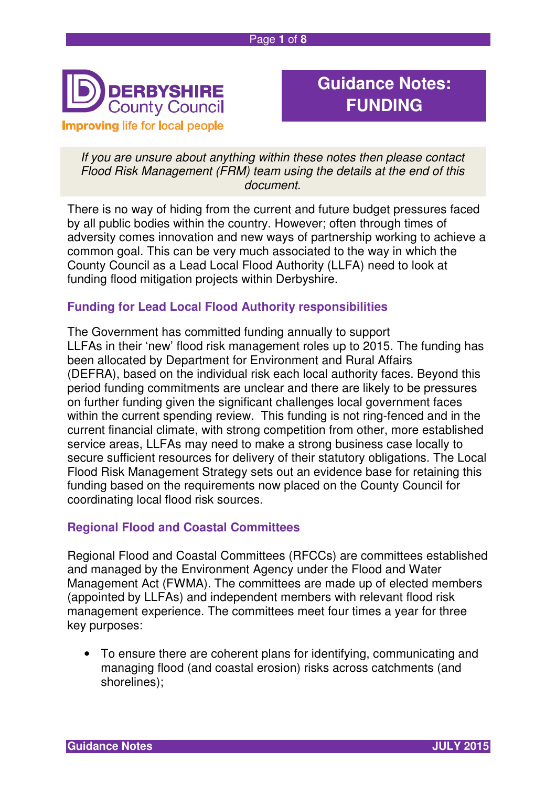

# **Guidance Notes: FUNDING**

If you are unsure about anything within these notes then please contact Flood Risk Management (FRM) team using the details at the end of this document.

There is no way of hiding from the current and future budget pressures faced by all public bodies within the country. However; often through times of adversity comes innovation and new ways of partnership working to achieve a common goal. This can be very much associated to the way in which the County Council as a Lead Local Flood Authority (LLFA) need to look at funding flood mitigation projects within Derbyshire.

# **Funding for Lead Local Flood Authority responsibilities**

The Government has committed funding annually to support LLFAs in their 'new' flood risk management roles up to 2015. The funding has been allocated by Department for Environment and Rural Affairs (DEFRA), based on the individual risk each local authority faces. Beyond this period funding commitments are unclear and there are likely to be pressures on further funding given the significant challenges local government faces within the current spending review. This funding is not ring-fenced and in the current financial climate, with strong competition from other, more established service areas, LLFAs may need to make a strong business case locally to secure sufficient resources for delivery of their statutory obligations. The Local Flood Risk Management Strategy sets out an evidence base for retaining this funding based on the requirements now placed on the County Council for coordinating local flood risk sources.

# **Regional Flood and Coastal Committees**

Regional Flood and Coastal Committees (RFCCs) are committees established and managed by the Environment Agency under the Flood and Water Management Act (FWMA). The committees are made up of elected members (appointed by LLFAs) and independent members with relevant flood risk management experience. The committees meet four times a year for three key purposes:

• To ensure there are coherent plans for identifying, communicating and managing flood (and coastal erosion) risks across catchments (and shorelines);

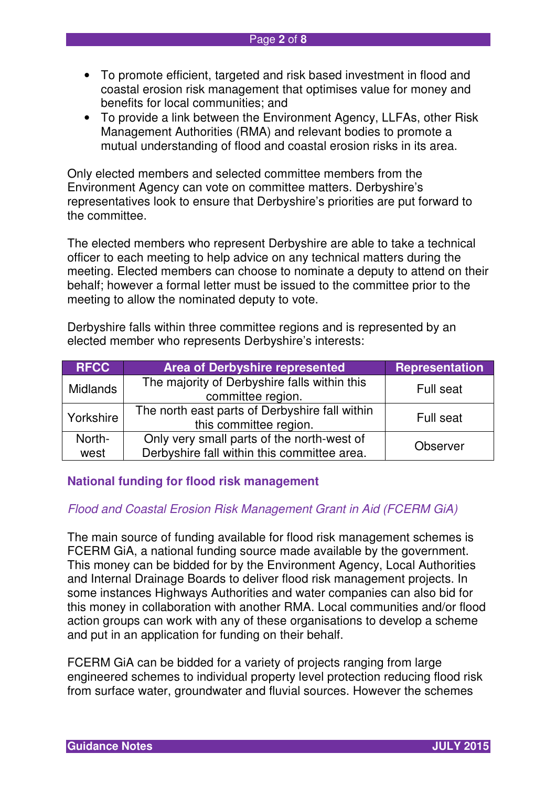- To promote efficient, targeted and risk based investment in flood and coastal erosion risk management that optimises value for money and benefits for local communities; and
- To provide a link between the Environment Agency, LLFAs, other Risk Management Authorities (RMA) and relevant bodies to promote a mutual understanding of flood and coastal erosion risks in its area.

Only elected members and selected committee members from the Environment Agency can vote on committee matters. Derbyshire's representatives look to ensure that Derbyshire's priorities are put forward to the committee.

The elected members who represent Derbyshire are able to take a technical officer to each meeting to help advice on any technical matters during the meeting. Elected members can choose to nominate a deputy to attend on their behalf; however a formal letter must be issued to the committee prior to the meeting to allow the nominated deputy to vote.

Derbyshire falls within three committee regions and is represented by an elected member who represents Derbyshire's interests:

| <b>RFCC</b>     | <b>Area of Derbyshire represented</b>                                    | <b>Representation</b> |  |
|-----------------|--------------------------------------------------------------------------|-----------------------|--|
| <b>Midlands</b> | The majority of Derbyshire falls within this<br>committee region.        | Full seat             |  |
| Yorkshire       | The north east parts of Derbyshire fall within<br>this committee region. | Full seat             |  |
| North-          | Only very small parts of the north-west of<br>Observer                   |                       |  |
| west            | Derbyshire fall within this committee area.                              |                       |  |

#### **National funding for flood risk management**

# Flood and Coastal Erosion Risk Management Grant in Aid (FCERM GiA)

The main source of funding available for flood risk management schemes is FCERM GiA, a national funding source made available by the government. This money can be bidded for by the Environment Agency, Local Authorities and Internal Drainage Boards to deliver flood risk management projects. In some instances Highways Authorities and water companies can also bid for this money in collaboration with another RMA. Local communities and/or flood action groups can work with any of these organisations to develop a scheme and put in an application for funding on their behalf.

FCERM GiA can be bidded for a variety of projects ranging from large engineered schemes to individual property level protection reducing flood risk from surface water, groundwater and fluvial sources. However the schemes

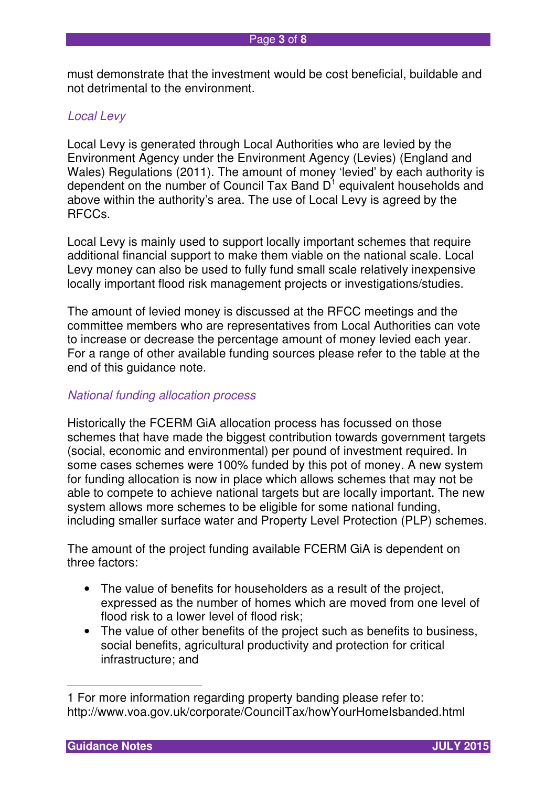must demonstrate that the investment would be cost beneficial, buildable and not detrimental to the environment.

# Local Levy

Local Levy is generated through Local Authorities who are levied by the Environment Agency under the Environment Agency (Levies) (England and Wales) Regulations (2011). The amount of money 'levied' by each authority is dependent on the number of Council Tax Band  $D^1$  equivalent households and above within the authority's area. The use of Local Levy is agreed by the RFCCs.

Local Levy is mainly used to support locally important schemes that require additional financial support to make them viable on the national scale. Local Levy money can also be used to fully fund small scale relatively inexpensive locally important flood risk management projects or investigations/studies.

The amount of levied money is discussed at the RFCC meetings and the committee members who are representatives from Local Authorities can vote to increase or decrease the percentage amount of money levied each year. For a range of other available funding sources please refer to the table at the end of this guidance note.

# National funding allocation process

Historically the FCERM GiA allocation process has focussed on those schemes that have made the biggest contribution towards government targets (social, economic and environmental) per pound of investment required. In some cases schemes were 100% funded by this pot of money. A new system for funding allocation is now in place which allows schemes that may not be able to compete to achieve national targets but are locally important. The new system allows more schemes to be eligible for some national funding, including smaller surface water and Property Level Protection (PLP) schemes.

The amount of the project funding available FCERM GiA is dependent on three factors:

- The value of benefits for householders as a result of the project, expressed as the number of homes which are moved from one level of flood risk to a lower level of flood risk;
- The value of other benefits of the project such as benefits to business, social benefits, agricultural productivity and protection for critical infrastructure; and

 $\overline{a}$ 



<sup>1</sup> For more information regarding property banding please refer to: http://www.voa.gov.uk/corporate/CouncilTax/howYourHomeIsbanded.html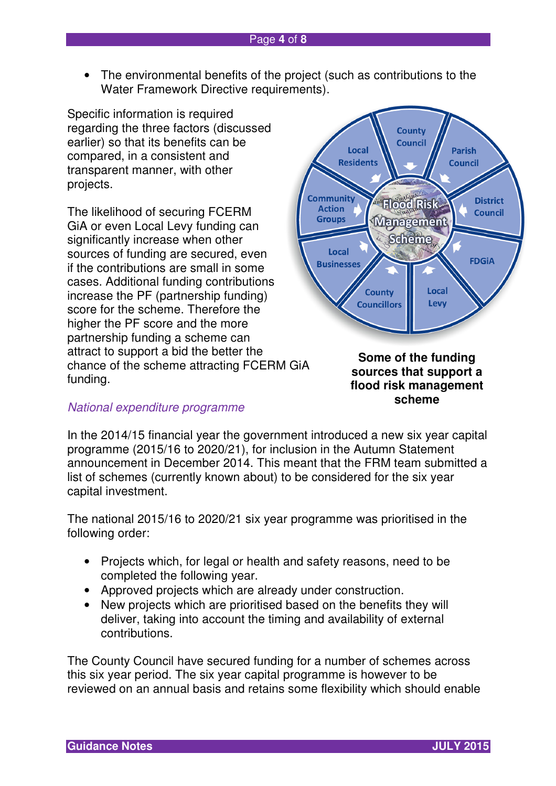• The environmental benefits of the project (such as contributions to the Water Framework Directive requirements).

Specific information is required regarding the three factors (discussed earlier) so that its benefits can be compared, in a consistent and transparent manner, with other projects.

The likelihood of securing FCERM GiA or even Local Levy funding can significantly increase when other sources of funding are secured, even if the contributions are small in some cases. Additional funding contributions increase the PF (partnership funding) score for the scheme. Therefore the higher the PF score and the more partnership funding a scheme can attract to support a bid the better the chance of the scheme attracting FCERM GiA funding.

# National expenditure programme



**Some of the funding sources that support a flood risk management scheme** 

In the 2014/15 financial year the government introduced a new six year capital programme (2015/16 to 2020/21), for inclusion in the Autumn Statement announcement in December 2014. This meant that the FRM team submitted a list of schemes (currently known about) to be considered for the six year capital investment.

The national 2015/16 to 2020/21 six year programme was prioritised in the following order:

- Projects which, for legal or health and safety reasons, need to be completed the following year.
- Approved projects which are already under construction.
- New projects which are prioritised based on the benefits they will deliver, taking into account the timing and availability of external contributions.

The County Council have secured funding for a number of schemes across this six year period. The six year capital programme is however to be reviewed on an annual basis and retains some flexibility which should enable

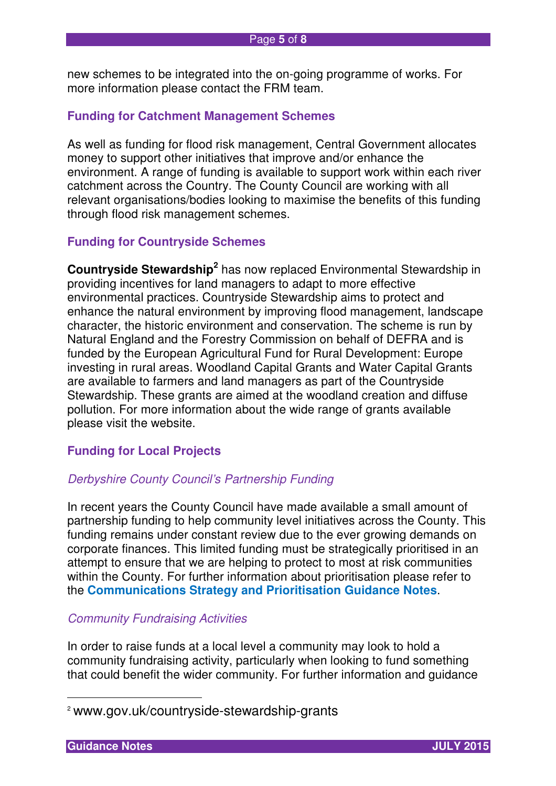new schemes to be integrated into the on-going programme of works. For more information please contact the FRM team.

## **Funding for Catchment Management Schemes**

As well as funding for flood risk management, Central Government allocates money to support other initiatives that improve and/or enhance the environment. A range of funding is available to support work within each river catchment across the Country. The County Council are working with all relevant organisations/bodies looking to maximise the benefits of this funding through flood risk management schemes.

#### **Funding for Countryside Schemes**

**Countryside Stewardship<sup>2</sup>** has now replaced Environmental Stewardship in providing incentives for land managers to adapt to more effective environmental practices. Countryside Stewardship aims to protect and enhance the natural environment by improving flood management, landscape character, the historic environment and conservation. The scheme is run by Natural England and the Forestry Commission on behalf of DEFRA and is funded by the European Agricultural Fund for Rural Development: Europe investing in rural areas. Woodland Capital Grants and Water Capital Grants are available to farmers and land managers as part of the Countryside Stewardship. These grants are aimed at the woodland creation and diffuse pollution. For more information about the wide range of grants available please visit the website.

#### **Funding for Local Projects**

#### Derbyshire County Council's Partnership Funding

In recent years the County Council have made available a small amount of partnership funding to help community level initiatives across the County. This funding remains under constant review due to the ever growing demands on corporate finances. This limited funding must be strategically prioritised in an attempt to ensure that we are helping to protect to most at risk communities within the County. For further information about prioritisation please refer to the **Communications Strategy and Prioritisation Guidance Notes**.

# Community Fundraising Activities

In order to raise funds at a local level a community may look to hold a community fundraising activity, particularly when looking to fund something that could benefit the wider community. For further information and guidance

 $\overline{a}$ 



<sup>2</sup> www.gov.uk/countryside-stewardship-grants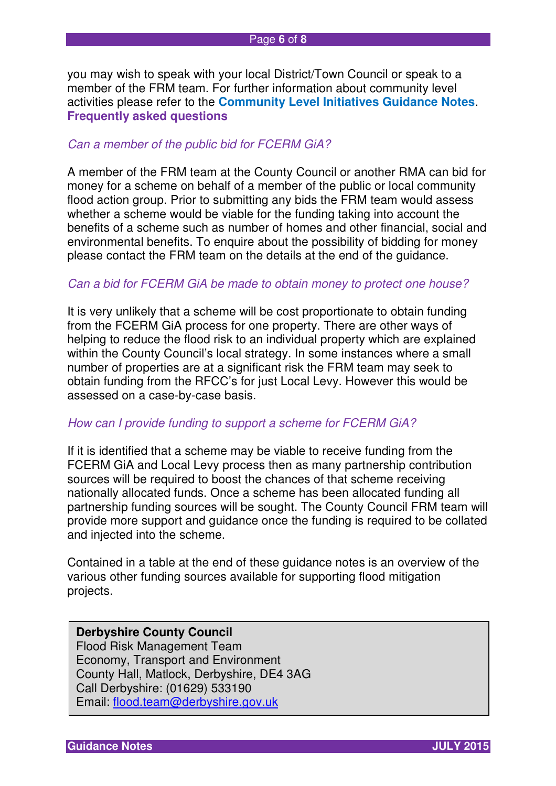you may wish to speak with your local District/Town Council or speak to a member of the FRM team. For further information about community level activities please refer to the **Community Level Initiatives Guidance Notes**. **Frequently asked questions** 

#### Can a member of the public bid for FCERM GiA?

A member of the FRM team at the County Council or another RMA can bid for money for a scheme on behalf of a member of the public or local community flood action group. Prior to submitting any bids the FRM team would assess whether a scheme would be viable for the funding taking into account the benefits of a scheme such as number of homes and other financial, social and environmental benefits. To enquire about the possibility of bidding for money please contact the FRM team on the details at the end of the guidance.

#### Can a bid for FCERM GiA be made to obtain money to protect one house?

It is very unlikely that a scheme will be cost proportionate to obtain funding from the FCERM GiA process for one property. There are other ways of helping to reduce the flood risk to an individual property which are explained within the County Council's local strategy. In some instances where a small number of properties are at a significant risk the FRM team may seek to obtain funding from the RFCC's for just Local Levy. However this would be assessed on a case-by-case basis.

#### How can I provide funding to support a scheme for FCERM GiA?

If it is identified that a scheme may be viable to receive funding from the FCERM GiA and Local Levy process then as many partnership contribution sources will be required to boost the chances of that scheme receiving nationally allocated funds. Once a scheme has been allocated funding all partnership funding sources will be sought. The County Council FRM team will provide more support and guidance once the funding is required to be collated and injected into the scheme.

Contained in a table at the end of these guidance notes is an overview of the various other funding sources available for supporting flood mitigation projects.

# **Derbyshire County Council**

Flood Risk Management Team Economy, Transport and Environment County Hall, Matlock, Derbyshire, DE4 3AG Call Derbyshire: (01629) 533190 Email: flood.team@derbyshire.gov.uk

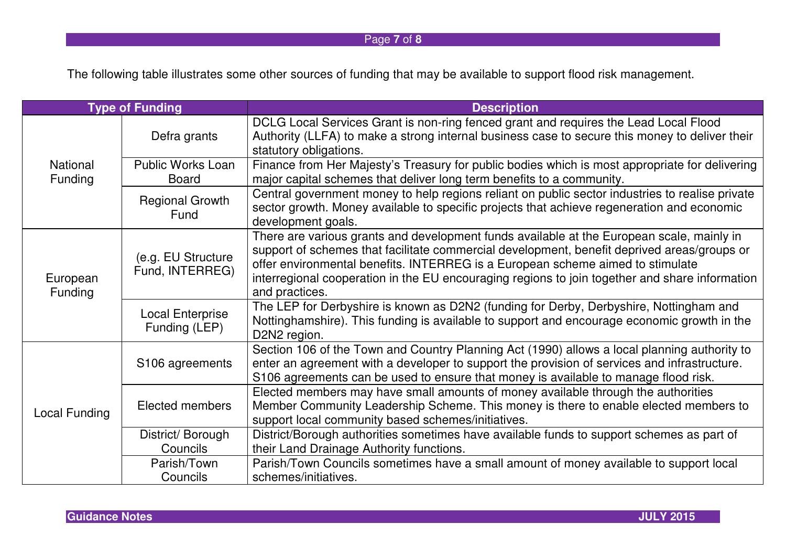# Page **7** of **8**

The following table illustrates some other sources of funding that may be available to support flood risk management.

| <b>Type of Funding</b>            |                                          | <b>Description</b>                                                                                                                                                                                                                                                                                                                                                                             |
|-----------------------------------|------------------------------------------|------------------------------------------------------------------------------------------------------------------------------------------------------------------------------------------------------------------------------------------------------------------------------------------------------------------------------------------------------------------------------------------------|
| <b>National</b><br><b>Funding</b> | Defra grants                             | DCLG Local Services Grant is non-ring fenced grant and requires the Lead Local Flood<br>Authority (LLFA) to make a strong internal business case to secure this money to deliver their<br>statutory obligations.                                                                                                                                                                               |
|                                   | <b>Public Works Loan</b><br><b>Board</b> | Finance from Her Majesty's Treasury for public bodies which is most appropriate for delivering<br>major capital schemes that deliver long term benefits to a community.                                                                                                                                                                                                                        |
|                                   | <b>Regional Growth</b><br>Fund           | Central government money to help regions reliant on public sector industries to realise private<br>sector growth. Money available to specific projects that achieve regeneration and economic<br>development goals.                                                                                                                                                                            |
| European<br>Funding               | (e.g. EU Structure<br>Fund, INTERREG)    | There are various grants and development funds available at the European scale, mainly in<br>support of schemes that facilitate commercial development, benefit deprived areas/groups or<br>offer environmental benefits. INTERREG is a European scheme aimed to stimulate<br>interregional cooperation in the EU encouraging regions to join together and share information<br>and practices. |
|                                   | <b>Local Enterprise</b><br>Funding (LEP) | The LEP for Derbyshire is known as D2N2 (funding for Derby, Derbyshire, Nottingham and<br>Nottinghamshire). This funding is available to support and encourage economic growth in the<br>D2N2 region.                                                                                                                                                                                          |
| <b>Local Funding</b>              | S106 agreements                          | Section 106 of the Town and Country Planning Act (1990) allows a local planning authority to<br>enter an agreement with a developer to support the provision of services and infrastructure.<br>S106 agreements can be used to ensure that money is available to manage flood risk.                                                                                                            |
|                                   | Elected members                          | Elected members may have small amounts of money available through the authorities<br>Member Community Leadership Scheme. This money is there to enable elected members to<br>support local community based schemes/initiatives.                                                                                                                                                                |
|                                   | District/Borough                         | District/Borough authorities sometimes have available funds to support schemes as part of                                                                                                                                                                                                                                                                                                      |
|                                   | Councils                                 | their Land Drainage Authority functions.                                                                                                                                                                                                                                                                                                                                                       |
|                                   | Parish/Town<br>Councils                  | Parish/Town Councils sometimes have a small amount of money available to support local<br>schemes/initiatives.                                                                                                                                                                                                                                                                                 |